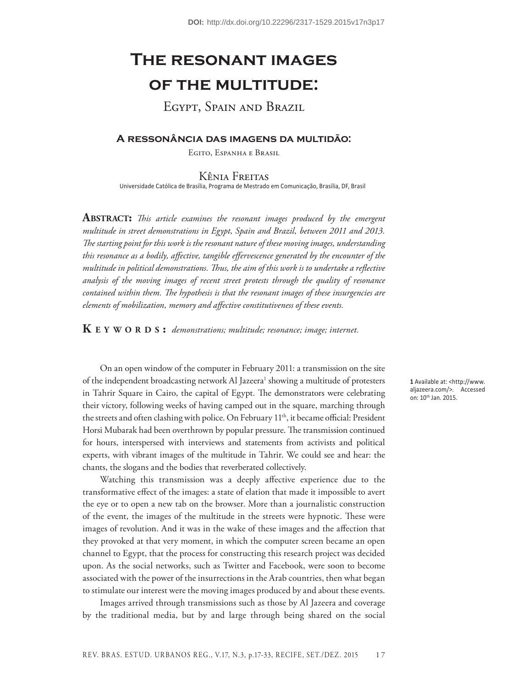# **The resonant images of the multitude:**

Egypt, Spain and Brazil

## **A ressonância das imagens da multidão:**

Egito, Espanha e Brasil

## Kênia Freitas

Universidade Católica de Brasília, Programa de Mestrado em Comunicação, Brasília, DF, Brasil

**Abstract:** *This article examines the resonant images produced by the emergent multitude in street demonstrations in Egypt, Spain and Brazil, between 2011 and 2013. The starting point for this work is the resonant nature of these moving images, understanding this resonance as a bodily, affective, tangible effervescence generated by the encounter of the multitude in political demonstrations. Thus, the aim of this work is to undertake a reflective analysis of the moving images of recent street protests through the quality of resonance contained within them. The hypothesis is that the resonant images of these insurgencies are elements of mobilization, memory and affective constitutiveness of these events.*

**K e y w o R D s** : *demonstrations; multitude; resonance; image; internet.* 

On an open window of the computer in February 2011: a transmission on the site of the independent broadcasting network Al Jazeera<sup>1</sup> showing a multitude of protesters in Tahrir Square in Cairo, the capital of Egypt. The demonstrators were celebrating their victory, following weeks of having camped out in the square, marching through the streets and often clashing with police. On February 11<sup>th</sup>, it became official: President Horsi Mubarak had been overthrown by popular pressure. The transmission continued for hours, interspersed with interviews and statements from activists and political experts, with vibrant images of the multitude in Tahrir. We could see and hear: the chants, the slogans and the bodies that reverberated collectively.

Watching this transmission was a deeply affective experience due to the transformative effect of the images: a state of elation that made it impossible to avert the eye or to open a new tab on the browser. More than a journalistic construction of the event, the images of the multitude in the streets were hypnotic. These were images of revolution. And it was in the wake of these images and the affection that they provoked at that very moment, in which the computer screen became an open channel to Egypt, that the process for constructing this research project was decided upon. As the social networks, such as Twitter and Facebook, were soon to become associated with the power of the insurrections in the Arab countries, then what began to stimulate our interest were the moving images produced by and about these events.

Images arrived through transmissions such as those by Al Jazeera and coverage by the traditional media, but by and large through being shared on the social **1** Available at: <http://www. aljazeera.com/>. Accessed on: 10th Jan. 2015.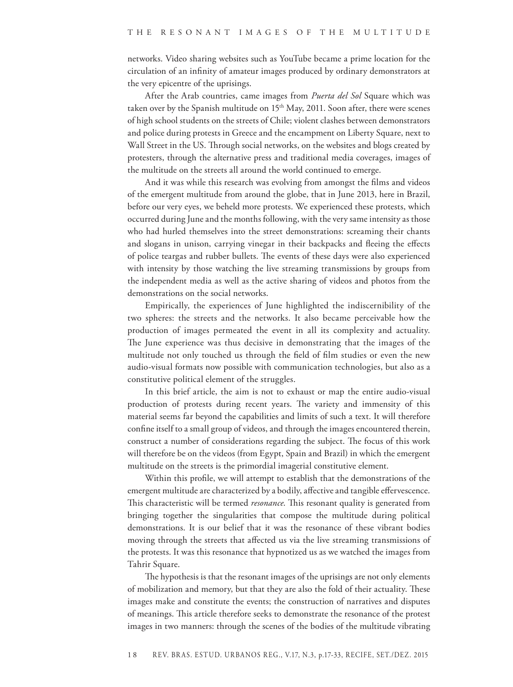networks. Video sharing websites such as YouTube became a prime location for the circulation of an infinity of amateur images produced by ordinary demonstrators at the very epicentre of the uprisings.

After the Arab countries, came images from *Puerta del Sol* Square which was taken over by the Spanish multitude on 15<sup>th</sup> May, 2011. Soon after, there were scenes of high school students on the streets of Chile; violent clashes between demonstrators and police during protests in Greece and the encampment on Liberty Square, next to Wall Street in the US. Through social networks, on the websites and blogs created by protesters, through the alternative press and traditional media coverages, images of the multitude on the streets all around the world continued to emerge.

And it was while this research was evolving from amongst the films and videos of the emergent multitude from around the globe, that in June 2013, here in Brazil, before our very eyes, we beheld more protests. We experienced these protests, which occurred during June and the months following, with the very same intensity as those who had hurled themselves into the street demonstrations: screaming their chants and slogans in unison, carrying vinegar in their backpacks and fleeing the effects of police teargas and rubber bullets. The events of these days were also experienced with intensity by those watching the live streaming transmissions by groups from the independent media as well as the active sharing of videos and photos from the demonstrations on the social networks.

Empirically, the experiences of June highlighted the indiscernibility of the two spheres: the streets and the networks. It also became perceivable how the production of images permeated the event in all its complexity and actuality. The June experience was thus decisive in demonstrating that the images of the multitude not only touched us through the field of film studies or even the new audio-visual formats now possible with communication technologies, but also as a constitutive political element of the struggles.

In this brief article, the aim is not to exhaust or map the entire audio-visual production of protests during recent years. The variety and immensity of this material seems far beyond the capabilities and limits of such a text. It will therefore confine itself to a small group of videos, and through the images encountered therein, construct a number of considerations regarding the subject. The focus of this work will therefore be on the videos (from Egypt, Spain and Brazil) in which the emergent multitude on the streets is the primordial imagerial constitutive element.

Within this profile, we will attempt to establish that the demonstrations of the emergent multitude are characterized by a bodily, affective and tangible effervescence. This characteristic will be termed *resonance*. This resonant quality is generated from bringing together the singularities that compose the multitude during political demonstrations. It is our belief that it was the resonance of these vibrant bodies moving through the streets that affected us via the live streaming transmissions of the protests. It was this resonance that hypnotized us as we watched the images from Tahrir Square.

The hypothesis is that the resonant images of the uprisings are not only elements of mobilization and memory, but that they are also the fold of their actuality. These images make and constitute the events; the construction of narratives and disputes of meanings. This article therefore seeks to demonstrate the resonance of the protest images in two manners: through the scenes of the bodies of the multitude vibrating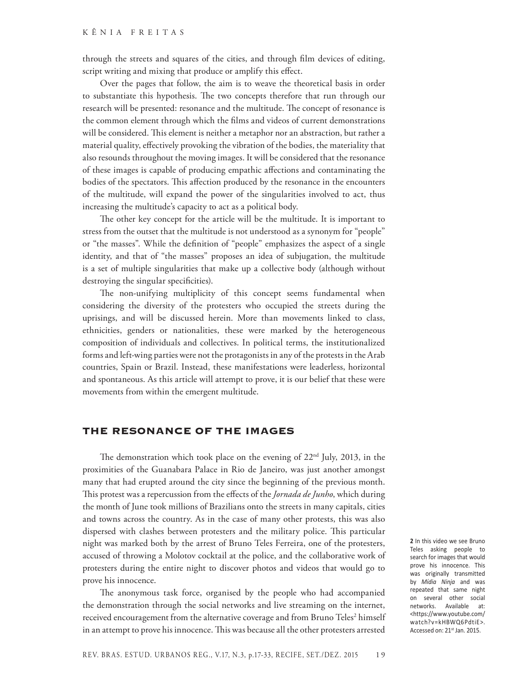through the streets and squares of the cities, and through film devices of editing, script writing and mixing that produce or amplify this effect.

Over the pages that follow, the aim is to weave the theoretical basis in order to substantiate this hypothesis. The two concepts therefore that run through our research will be presented: resonance and the multitude. The concept of resonance is the common element through which the films and videos of current demonstrations will be considered. This element is neither a metaphor nor an abstraction, but rather a material quality, effectively provoking the vibration of the bodies, the materiality that also resounds throughout the moving images. It will be considered that the resonance of these images is capable of producing empathic affections and contaminating the bodies of the spectators. This affection produced by the resonance in the encounters of the multitude, will expand the power of the singularities involved to act, thus increasing the multitude's capacity to act as a political body.

The other key concept for the article will be the multitude. It is important to stress from the outset that the multitude is not understood as a synonym for "people" or "the masses". While the definition of "people" emphasizes the aspect of a single identity, and that of "the masses" proposes an idea of subjugation, the multitude is a set of multiple singularities that make up a collective body (although without destroying the singular specificities).

The non-unifying multiplicity of this concept seems fundamental when considering the diversity of the protesters who occupied the streets during the uprisings, and will be discussed herein. More than movements linked to class, ethnicities, genders or nationalities, these were marked by the heterogeneous composition of individuals and collectives. In political terms, the institutionalized forms and left-wing parties were not the protagonists in any of the protests in the Arab countries, Spain or Brazil. Instead, these manifestations were leaderless, horizontal and spontaneous. As this article will attempt to prove, it is our belief that these were movements from within the emergent multitude.

## The Resonance of the Images

The demonstration which took place on the evening of 22nd July, 2013, in the proximities of the Guanabara Palace in Rio de Janeiro, was just another amongst many that had erupted around the city since the beginning of the previous month. This protest was a repercussion from the effects of the *Jornada de Junho*, which during the month of June took millions of Brazilians onto the streets in many capitals, cities and towns across the country. As in the case of many other protests, this was also dispersed with clashes between protesters and the military police. This particular night was marked both by the arrest of Bruno Teles Ferreira, one of the protesters, accused of throwing a Molotov cocktail at the police, and the collaborative work of protesters during the entire night to discover photos and videos that would go to prove his innocence.

The anonymous task force, organised by the people who had accompanied the demonstration through the social networks and live streaming on the internet, received encouragement from the alternative coverage and from Bruno Teles<sup>2</sup> himself in an attempt to prove his innocence. This was because all the other protesters arrested

**2** In this video we see Bruno Teles asking people to search for images that would prove his innocence. This was originally transmitted by *Mídia Ninja* and was repeated that same night on several other social networks. Available at: <https://www.youtube.com/ watch?v=kHBWQ6PdtiE>. Accessed on: 21st Jan. 2015.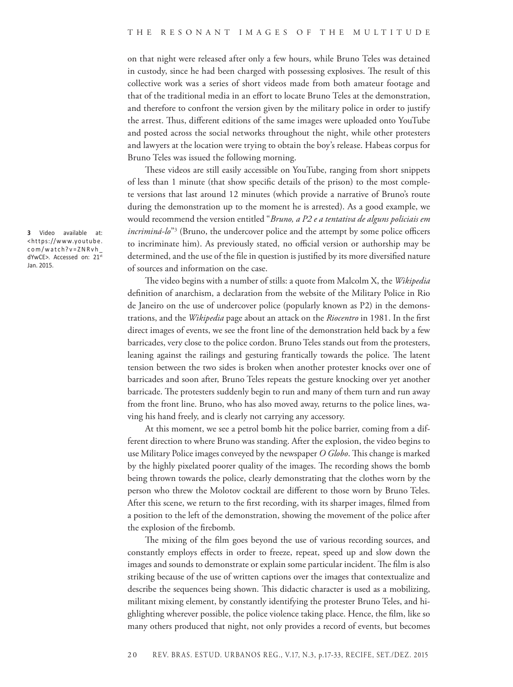on that night were released after only a few hours, while Bruno Teles was detained in custody, since he had been charged with possessing explosives. The result of this collective work was a series of short videos made from both amateur footage and that of the traditional media in an effort to locate Bruno Teles at the demonstration, and therefore to confront the version given by the military police in order to justify the arrest. Thus, different editions of the same images were uploaded onto YouTube and posted across the social networks throughout the night, while other protesters and lawyers at the location were trying to obtain the boy's release. Habeas corpus for Bruno Teles was issued the following morning.

These videos are still easily accessible on YouTube, ranging from short snippets of less than 1 minute (that show specific details of the prison) to the most complete versions that last around 12 minutes (which provide a narrative of Bruno's route during the demonstration up to the moment he is arrested). As a good example, we would recommend the version entitled "*Bruno, a P2 e a tentativa de alguns policiais em incriminá-lo*"3 (Bruno, the undercover police and the attempt by some police officers to incriminate him). As previously stated, no official version or authorship may be determined, and the use of the file in question is justified by its more diversified nature of sources and information on the case.

The video begins with a number of stills: a quote from Malcolm X, the *Wikipedia*  definition of anarchism, a declaration from the website of the Military Police in Rio de Janeiro on the use of undercover police (popularly known as P2) in the demonstrations, and the *Wikipedia* page about an attack on the *Riocentro* in 1981. In the first direct images of events, we see the front line of the demonstration held back by a few barricades, very close to the police cordon. Bruno Teles stands out from the protesters, leaning against the railings and gesturing frantically towards the police. The latent tension between the two sides is broken when another protester knocks over one of barricades and soon after, Bruno Teles repeats the gesture knocking over yet another barricade. The protesters suddenly begin to run and many of them turn and run away from the front line. Bruno, who has also moved away, returns to the police lines, waving his hand freely, and is clearly not carrying any accessory.

At this moment, we see a petrol bomb hit the police barrier, coming from a different direction to where Bruno was standing. After the explosion, the video begins to use Military Police images conveyed by the newspaper *O Globo*. This change is marked by the highly pixelated poorer quality of the images. The recording shows the bomb being thrown towards the police, clearly demonstrating that the clothes worn by the person who threw the Molotov cocktail are different to those worn by Bruno Teles. After this scene, we return to the first recording, with its sharper images, filmed from a position to the left of the demonstration, showing the movement of the police after the explosion of the firebomb.

The mixing of the film goes beyond the use of various recording sources, and constantly employs effects in order to freeze, repeat, speed up and slow down the images and sounds to demonstrate or explain some particular incident. The film is also striking because of the use of written captions over the images that contextualize and describe the sequences being shown. This didactic character is used as a mobilizing, militant mixing element, by constantly identifying the protester Bruno Teles, and highlighting wherever possible, the police violence taking place. Hence, the film, like so many others produced that night, not only provides a record of events, but becomes

**3** Video available at: <https://www.youtube. com/watch?v=ZNRvh\_ dYwCE>. Accessed on: 21st Jan. 2015.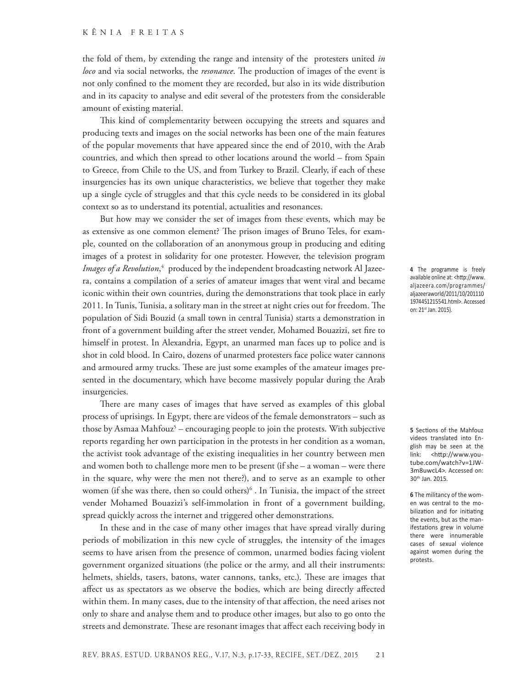#### Kênia Freitas

the fold of them, by extending the range and intensity of the protesters united *in loco* and via social networks, the *resonance*. The production of images of the event is not only confined to the moment they are recorded, but also in its wide distribution and in its capacity to analyse and edit several of the protesters from the considerable amount of existing material.

This kind of complementarity between occupying the streets and squares and producing texts and images on the social networks has been one of the main features of the popular movements that have appeared since the end of 2010, with the Arab countries, and which then spread to other locations around the world – from Spain to Greece, from Chile to the US, and from Turkey to Brazil. Clearly, if each of these insurgencies has its own unique characteristics, we believe that together they make up a single cycle of struggles and that this cycle needs to be considered in its global context so as to understand its potential, actualities and resonances.

But how may we consider the set of images from these events, which may be as extensive as one common element? The prison images of Bruno Teles, for example, counted on the collaboration of an anonymous group in producing and editing images of a protest in solidarity for one protester. However, the television program *Images of a Revolution*,<sup>4</sup> produced by the independent broadcasting network Al Jazeera, contains a compilation of a series of amateur images that went viral and became iconic within their own countries, during the demonstrations that took place in early 2011. In Tunis, Tunisia, a solitary man in the street at night cries out for freedom. The population of Sidi Bouzid (a small town in central Tunisia) starts a demonstration in front of a government building after the street vender, Mohamed Bouazizi, set fire to himself in protest. In Alexandria, Egypt, an unarmed man faces up to police and is shot in cold blood. In Cairo, dozens of unarmed protesters face police water cannons and armoured army trucks. These are just some examples of the amateur images presented in the documentary, which have become massively popular during the Arab insurgencies.

There are many cases of images that have served as examples of this global process of uprisings. In Egypt, there are videos of the female demonstrators – such as those by Asmaa Mahfouz<sup>5</sup> – encouraging people to join the protests. With subjective reports regarding her own participation in the protests in her condition as a woman, the activist took advantage of the existing inequalities in her country between men and women both to challenge more men to be present (if she – a woman – were there in the square, why were the men not there?), and to serve as an example to other women (if she was there, then so could others)<sup>6</sup> . In Tunisia, the impact of the street vender Mohamed Bouazizi's self-immolation in front of a government building, spread quickly across the internet and triggered other demonstrations.

In these and in the case of many other images that have spread virally during periods of mobilization in this new cycle of struggles, the intensity of the images seems to have arisen from the presence of common, unarmed bodies facing violent government organized situations (the police or the army, and all their instruments: helmets, shields, tasers, batons, water cannons, tanks, etc.). These are images that affect us as spectators as we observe the bodies, which are being directly affected within them. In many cases, due to the intensity of that affection, the need arises not only to share and analyse them and to produce other images, but also to go onto the streets and demonstrate. These are resonant images that affect each receiving body in

**4** The programme is freely available online at: <http://www. aljazeera.com/programmes/ aljazeeraworld/2011/10/201110 1974451215541.html>. Accessed on: 21st Jan. 2015).

**5** Sections of the Mahfouz videos translated into English may be seen at the link: <http://www.youtube.com/watch?v=1JW-3m8uwcL4>. Accessed on: 30th Jan. 2015.

**6** The militancy of the women was central to the mobilization and for initiating the events, but as the manifestations grew in volume there were innumerable cases of sexual violence against women during the protests.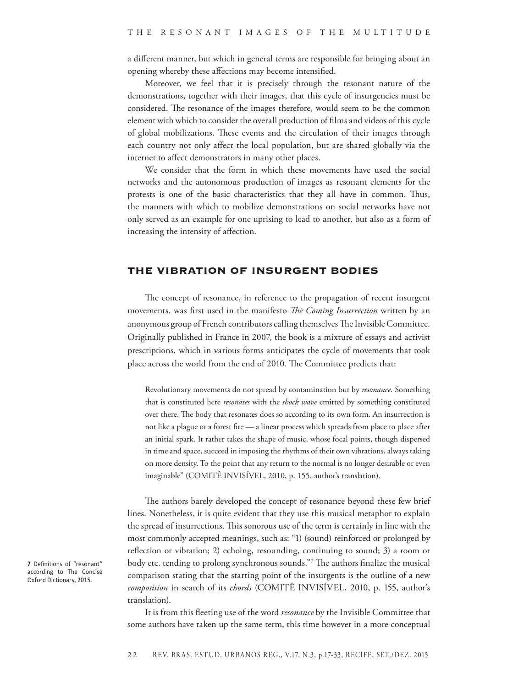a different manner, but which in general terms are responsible for bringing about an opening whereby these affections may become intensified.

Moreover, we feel that it is precisely through the resonant nature of the demonstrations, together with their images, that this cycle of insurgencies must be considered. The resonance of the images therefore, would seem to be the common element with which to consider the overall production of films and videos of this cycle of global mobilizations. These events and the circulation of their images through each country not only affect the local population, but are shared globally via the internet to affect demonstrators in many other places.

We consider that the form in which these movements have used the social networks and the autonomous production of images as resonant elements for the protests is one of the basic characteristics that they all have in common. Thus, the manners with which to mobilize demonstrations on social networks have not only served as an example for one uprising to lead to another, but also as a form of increasing the intensity of affection.

## The vibration of insurgent bodies

The concept of resonance, in reference to the propagation of recent insurgent movements, was first used in the manifesto *The Coming Insurrection* written by an anonymous group of French contributors calling themselves The Invisible Committee. Originally published in France in 2007, the book is a mixture of essays and activist prescriptions, which in various forms anticipates the cycle of movements that took place across the world from the end of 2010. The Committee predicts that:

Revolutionary movements do not spread by contamination but by *resonance*. Something that is constituted here *resonates* with the *shock wave* emitted by something constituted over there. The body that resonates does so according to its own form. An insurrection is not like a plague or a forest fire — a linear process which spreads from place to place after an initial spark. It rather takes the shape of music, whose focal points, though dispersed in time and space, succeed in imposing the rhythms of their own vibrations, always taking on more density. To the point that any return to the normal is no longer desirable or even imaginable" (COMITÊ INVISÍVEL, 2010, p. 155, author's translation).

The authors barely developed the concept of resonance beyond these few brief lines. Nonetheless, it is quite evident that they use this musical metaphor to explain the spread of insurrections. This sonorous use of the term is certainly in line with the most commonly accepted meanings, such as: "1) (sound) reinforced or prolonged by reflection or vibration; 2) echoing, resounding, continuing to sound; 3) a room or body etc. tending to prolong synchronous sounds."7 The authors finalize the musical comparison stating that the starting point of the insurgents is the outline of a new *composition* in search of its *chords* (COMITÊ INVISÍVEL, 2010, p. 155, author's translation).

It is from this fleeting use of the word *resonance* by the Invisible Committee that some authors have taken up the same term, this time however in a more conceptual

**7** Definitions of "resonant" according to The Concise Oxford Dictionary, 2015.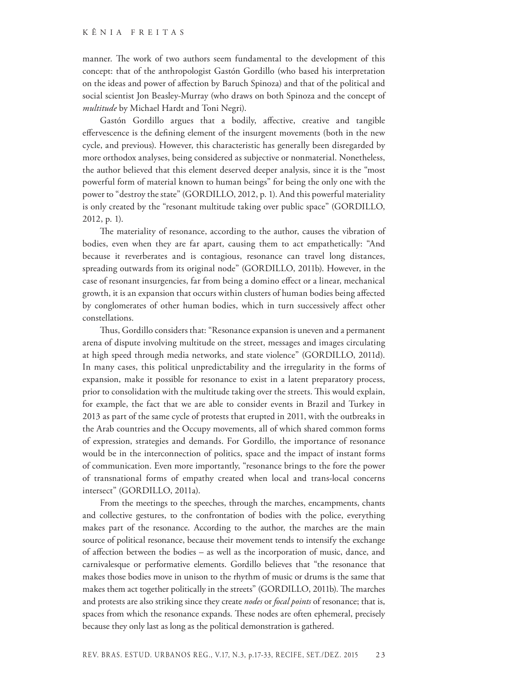manner. The work of two authors seem fundamental to the development of this concept: that of the anthropologist Gastón Gordillo (who based his interpretation on the ideas and power of affection by Baruch Spinoza) and that of the political and social scientist Jon Beasley-Murray (who draws on both Spinoza and the concept of *multitude* by Michael Hardt and Toni Negri).

Gastón Gordillo argues that a bodily, affective, creative and tangible effervescence is the defining element of the insurgent movements (both in the new cycle, and previous). However, this characteristic has generally been disregarded by more orthodox analyses, being considered as subjective or nonmaterial. Nonetheless, the author believed that this element deserved deeper analysis, since it is the "most powerful form of material known to human beings" for being the only one with the power to "destroy the state" (GORDILLO, 2012, p. 1). And this powerful materiality is only created by the "resonant multitude taking over public space" (GORDILLO, 2012, p. 1).

The materiality of resonance, according to the author, causes the vibration of bodies, even when they are far apart, causing them to act empathetically: "And because it reverberates and is contagious, resonance can travel long distances, spreading outwards from its original node" (GORDILLO, 2011b). However, in the case of resonant insurgencies, far from being a domino effect or a linear, mechanical growth, it is an expansion that occurs within clusters of human bodies being affected by conglomerates of other human bodies, which in turn successively affect other constellations.

Thus, Gordillo considers that: "Resonance expansion is uneven and a permanent arena of dispute involving multitude on the street, messages and images circulating at high speed through media networks, and state violence" (GORDILLO, 2011d). In many cases, this political unpredictability and the irregularity in the forms of expansion, make it possible for resonance to exist in a latent preparatory process, prior to consolidation with the multitude taking over the streets. This would explain, for example, the fact that we are able to consider events in Brazil and Turkey in 2013 as part of the same cycle of protests that erupted in 2011, with the outbreaks in the Arab countries and the Occupy movements, all of which shared common forms of expression, strategies and demands. For Gordillo, the importance of resonance would be in the interconnection of politics, space and the impact of instant forms of communication. Even more importantly, "resonance brings to the fore the power of transnational forms of empathy created when local and trans-local concerns intersect" (GORDILLO, 2011a).

From the meetings to the speeches, through the marches, encampments, chants and collective gestures, to the confrontation of bodies with the police, everything makes part of the resonance. According to the author, the marches are the main source of political resonance, because their movement tends to intensify the exchange of affection between the bodies – as well as the incorporation of music, dance, and carnivalesque or performative elements. Gordillo believes that "the resonance that makes those bodies move in unison to the rhythm of music or drums is the same that makes them act together politically in the streets" (GORDILLO, 2011b). The marches and protests are also striking since they create *nodes* or *focal points* of resonance; that is, spaces from which the resonance expands. These nodes are often ephemeral, precisely because they only last as long as the political demonstration is gathered.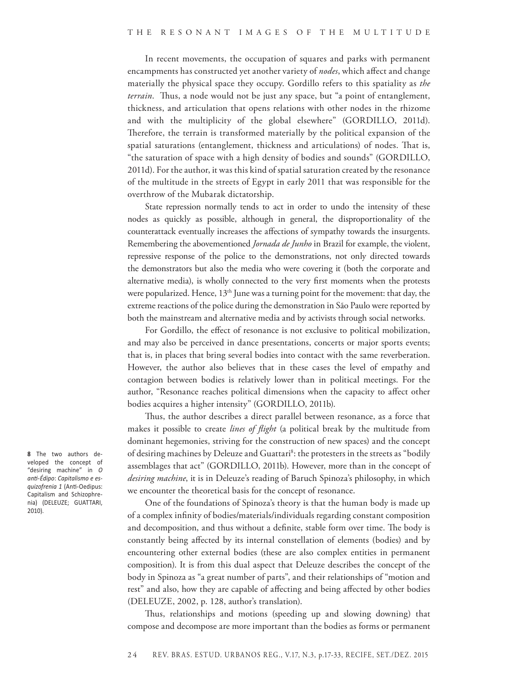In recent movements, the occupation of squares and parks with permanent encampments has constructed yet another variety of *nodes*, which affect and change materially the physical space they occupy. Gordillo refers to this spatiality as *the terrain*. Thus, a node would not be just any space, but "a point of entanglement, thickness, and articulation that opens relations with other nodes in the rhizome and with the multiplicity of the global elsewhere" (GORDILLO, 2011d). Therefore, the terrain is transformed materially by the political expansion of the spatial saturations (entanglement, thickness and articulations) of nodes. That is, "the saturation of space with a high density of bodies and sounds" (GORDILLO, 2011d). For the author, it was this kind of spatial saturation created by the resonance of the multitude in the streets of Egypt in early 2011 that was responsible for the overthrow of the Mubarak dictatorship.

State repression normally tends to act in order to undo the intensity of these nodes as quickly as possible, although in general, the disproportionality of the counterattack eventually increases the affections of sympathy towards the insurgents. Remembering the abovementioned *Jornada de Junho* in Brazil for example, the violent, repressive response of the police to the demonstrations, not only directed towards the demonstrators but also the media who were covering it (both the corporate and alternative media), is wholly connected to the very first moments when the protests were popularized. Hence,  $13<sup>th</sup>$  June was a turning point for the movement: that day, the extreme reactions of the police during the demonstration in São Paulo were reported by both the mainstream and alternative media and by activists through social networks.

For Gordillo, the effect of resonance is not exclusive to political mobilization, and may also be perceived in dance presentations, concerts or major sports events; that is, in places that bring several bodies into contact with the same reverberation. However, the author also believes that in these cases the level of empathy and contagion between bodies is relatively lower than in political meetings. For the author, "Resonance reaches political dimensions when the capacity to affect other bodies acquires a higher intensity" (GORDILLO, 2011b).

Thus, the author describes a direct parallel between resonance, as a force that makes it possible to create *lines of flight* (a political break by the multitude from dominant hegemonies, striving for the construction of new spaces) and the concept of desiring machines by Deleuze and Guattari<sup>8</sup>: the protesters in the streets as "bodily assemblages that act" (GORDILLO, 2011b). However, more than in the concept of *desiring machine*, it is in Deleuze's reading of Baruch Spinoza's philosophy, in which we encounter the theoretical basis for the concept of resonance.

One of the foundations of Spinoza's theory is that the human body is made up of a complex infinity of bodies/materials/individuals regarding constant composition and decomposition, and thus without a definite, stable form over time. The body is constantly being affected by its internal constellation of elements (bodies) and by encountering other external bodies (these are also complex entities in permanent composition). It is from this dual aspect that Deleuze describes the concept of the body in Spinoza as "a great number of parts", and their relationships of "motion and rest" and also, how they are capable of affecting and being affected by other bodies (DELEUZE, 2002, p. 128, author's translation).

Thus, relationships and motions (speeding up and slowing downing) that compose and decompose are more important than the bodies as forms or permanent

**8** The two authors developed the concept of "desiring machine" in *O anti-Édipo*: *Capitalismo e esquizofrenia 1* (Anti-Oedipus: Capitalism and Schizophrenia) (DELEUZE; GUATTARI, 2010).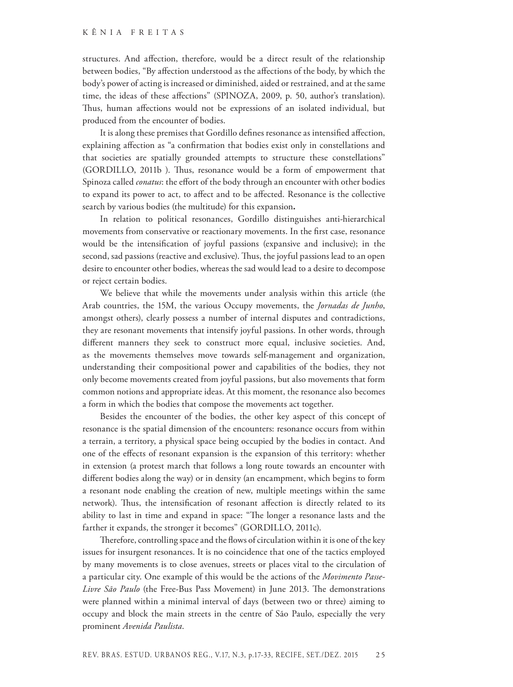structures. And affection, therefore, would be a direct result of the relationship between bodies, "By affection understood as the affections of the body, by which the body's power of acting is increased or diminished, aided or restrained, and at the same time, the ideas of these affections" (SPINOZA, 2009, p. 50, author's translation). Thus, human affections would not be expressions of an isolated individual, but produced from the encounter of bodies.

It is along these premises that Gordillo defines resonance as intensified affection, explaining affection as "a confirmation that bodies exist only in constellations and that societies are spatially grounded attempts to structure these constellations" (GORDILLO, 2011b ). Thus, resonance would be a form of empowerment that Spinoza called *conatus*: the effort of the body through an encounter with other bodies to expand its power to act, to affect and to be affected. Resonance is the collective search by various bodies (the multitude) for this expansion**.**

In relation to political resonances, Gordillo distinguishes anti-hierarchical movements from conservative or reactionary movements. In the first case, resonance would be the intensification of joyful passions (expansive and inclusive); in the second, sad passions (reactive and exclusive). Thus, the joyful passions lead to an open desire to encounter other bodies, whereas the sad would lead to a desire to decompose or reject certain bodies.

We believe that while the movements under analysis within this article (the Arab countries, the 15M, the various Occupy movements, the *Jornadas de Junho*, amongst others), clearly possess a number of internal disputes and contradictions, they are resonant movements that intensify joyful passions. In other words, through different manners they seek to construct more equal, inclusive societies. And, as the movements themselves move towards self-management and organization, understanding their compositional power and capabilities of the bodies, they not only become movements created from joyful passions, but also movements that form common notions and appropriate ideas. At this moment, the resonance also becomes a form in which the bodies that compose the movements act together.

Besides the encounter of the bodies, the other key aspect of this concept of resonance is the spatial dimension of the encounters: resonance occurs from within a terrain, a territory, a physical space being occupied by the bodies in contact. And one of the effects of resonant expansion is the expansion of this territory: whether in extension (a protest march that follows a long route towards an encounter with different bodies along the way) or in density (an encampment, which begins to form a resonant node enabling the creation of new, multiple meetings within the same network). Thus, the intensification of resonant affection is directly related to its ability to last in time and expand in space: "The longer a resonance lasts and the farther it expands, the stronger it becomes" (GORDILLO, 2011c).

Therefore, controlling space and the flows of circulation within it is one of the key issues for insurgent resonances. It is no coincidence that one of the tactics employed by many movements is to close avenues, streets or places vital to the circulation of a particular city. One example of this would be the actions of the *Movimento Passe-Livre São Paulo* (the Free-Bus Pass Movement) in June 2013. The demonstrations were planned within a minimal interval of days (between two or three) aiming to occupy and block the main streets in the centre of São Paulo, especially the very prominent *Avenida Paulista*.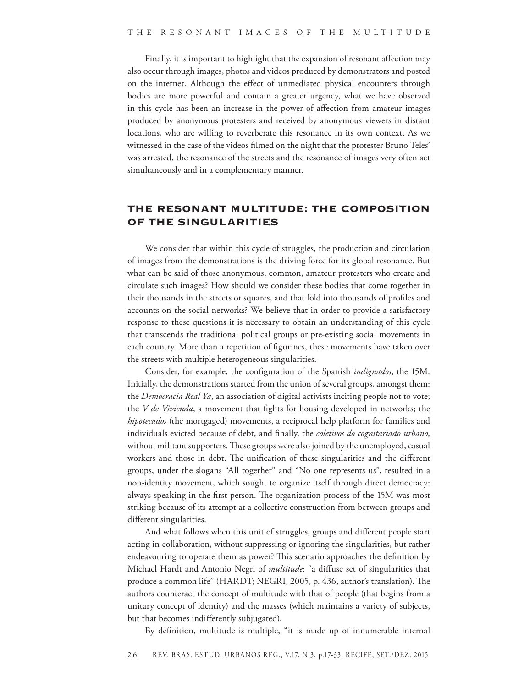Finally, it is important to highlight that the expansion of resonant affection may also occur through images, photos and videos produced by demonstrators and posted on the internet. Although the effect of unmediated physical encounters through bodies are more powerful and contain a greater urgency, what we have observed in this cycle has been an increase in the power of affection from amateur images produced by anonymous protesters and received by anonymous viewers in distant locations, who are willing to reverberate this resonance in its own context. As we witnessed in the case of the videos filmed on the night that the protester Bruno Teles' was arrested, the resonance of the streets and the resonance of images very often act simultaneously and in a complementary manner.

# The resonant multitude: the composition of the singularities

We consider that within this cycle of struggles, the production and circulation of images from the demonstrations is the driving force for its global resonance. But what can be said of those anonymous, common, amateur protesters who create and circulate such images? How should we consider these bodies that come together in their thousands in the streets or squares, and that fold into thousands of profiles and accounts on the social networks? We believe that in order to provide a satisfactory response to these questions it is necessary to obtain an understanding of this cycle that transcends the traditional political groups or pre-existing social movements in each country. More than a repetition of figurines, these movements have taken over the streets with multiple heterogeneous singularities.

Consider, for example, the configuration of the Spanish *indignados*, the 15M. Initially, the demonstrations started from the union of several groups, amongst them: the *Democracia Real Ya*, an association of digital activists inciting people not to vote; the *V de Vivienda*, a movement that fights for housing developed in networks; the *hipotecados* (the mortgaged) movements, a reciprocal help platform for families and individuals evicted because of debt, and finally, the *coletivos do cognitariado urbano*, without militant supporters. These groups were also joined by the unemployed, casual workers and those in debt. The unification of these singularities and the different groups, under the slogans "All together" and "No one represents us", resulted in a non-identity movement, which sought to organize itself through direct democracy: always speaking in the first person. The organization process of the 15M was most striking because of its attempt at a collective construction from between groups and different singularities.

And what follows when this unit of struggles, groups and different people start acting in collaboration, without suppressing or ignoring the singularities, but rather endeavouring to operate them as power? This scenario approaches the definition by Michael Hardt and Antonio Negri of *multitude*: "a diffuse set of singularities that produce a common life" (HARDT; NEGRI, 2005, p. 436, author's translation). The authors counteract the concept of multitude with that of people (that begins from a unitary concept of identity) and the masses (which maintains a variety of subjects, but that becomes indifferently subjugated).

By definition, multitude is multiple, "it is made up of innumerable internal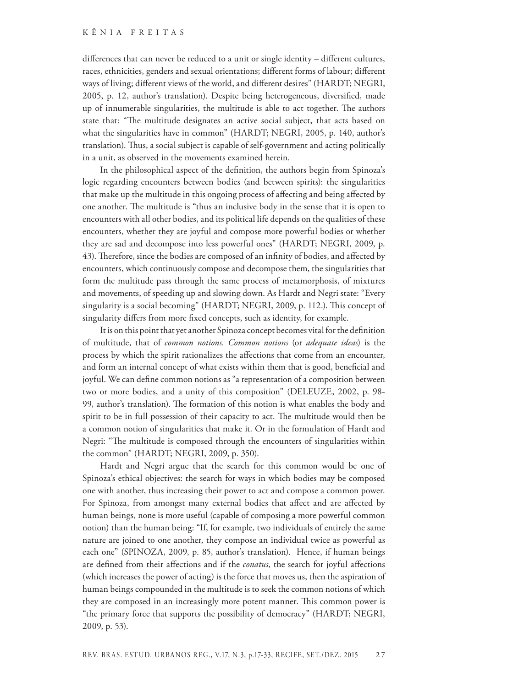differences that can never be reduced to a unit or single identity – different cultures, races, ethnicities, genders and sexual orientations; different forms of labour; different ways of living; different views of the world, and different desires" (HARDT; NEGRI, 2005, p. 12, author's translation). Despite being heterogeneous, diversified, made up of innumerable singularities, the multitude is able to act together. The authors state that: "The multitude designates an active social subject, that acts based on what the singularities have in common" (HARDT; NEGRI, 2005, p. 140, author's translation). Thus, a social subject is capable of self-government and acting politically in a unit, as observed in the movements examined herein.

In the philosophical aspect of the definition, the authors begin from Spinoza's logic regarding encounters between bodies (and between spirits): the singularities that make up the multitude in this ongoing process of affecting and being affected by one another. The multitude is "thus an inclusive body in the sense that it is open to encounters with all other bodies, and its political life depends on the qualities of these encounters, whether they are joyful and compose more powerful bodies or whether they are sad and decompose into less powerful ones" (HARDT; NEGRI, 2009, p. 43). Therefore, since the bodies are composed of an infinity of bodies, and affected by encounters, which continuously compose and decompose them, the singularities that form the multitude pass through the same process of metamorphosis, of mixtures and movements, of speeding up and slowing down. As Hardt and Negri state: "Every singularity is a social becoming" (HARDT; NEGRI, 2009, p. 112.). This concept of singularity differs from more fixed concepts, such as identity, for example.

It is on this point that yet another Spinoza concept becomes vital for the definition of multitude, that of *common notions*. *Common notions* (or *adequate ideas*) is the process by which the spirit rationalizes the affections that come from an encounter, and form an internal concept of what exists within them that is good, beneficial and joyful. We can define common notions as "a representation of a composition between two or more bodies, and a unity of this composition" (DELEUZE, 2002, p. 98- 99, author's translation). The formation of this notion is what enables the body and spirit to be in full possession of their capacity to act. The multitude would then be a common notion of singularities that make it. Or in the formulation of Hardt and Negri: "The multitude is composed through the encounters of singularities within the common" (HARDT; NEGRI, 2009, p. 350).

Hardt and Negri argue that the search for this common would be one of Spinoza's ethical objectives: the search for ways in which bodies may be composed one with another, thus increasing their power to act and compose a common power. For Spinoza, from amongst many external bodies that affect and are affected by human beings, none is more useful (capable of composing a more powerful common notion) than the human being: "If, for example, two individuals of entirely the same nature are joined to one another, they compose an individual twice as powerful as each one" (SPINOZA, 2009, p. 85, author's translation). Hence, if human beings are defined from their affections and if the *conatus*, the search for joyful affections (which increases the power of acting) is the force that moves us, then the aspiration of human beings compounded in the multitude is to seek the common notions of which they are composed in an increasingly more potent manner. This common power is "the primary force that supports the possibility of democracy" (HARDT; NEGRI, 2009, p. 53).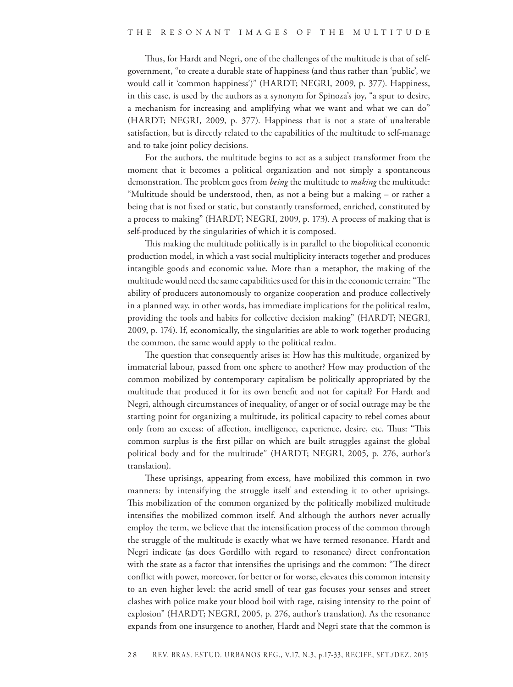Thus, for Hardt and Negri, one of the challenges of the multitude is that of selfgovernment, "to create a durable state of happiness (and thus rather than 'public', we would call it 'common happiness')" (HARDT; NEGRI, 2009, p. 377). Happiness, in this case, is used by the authors as a synonym for Spinoza's joy, "a spur to desire, a mechanism for increasing and amplifying what we want and what we can do" (HARDT; NEGRI, 2009, p. 377). Happiness that is not a state of unalterable satisfaction, but is directly related to the capabilities of the multitude to self-manage and to take joint policy decisions.

For the authors, the multitude begins to act as a subject transformer from the moment that it becomes a political organization and not simply a spontaneous demonstration. The problem goes from *being* the multitude to *making* the multitude: "Multitude should be understood, then, as not a being but a making – or rather a being that is not fixed or static, but constantly transformed, enriched, constituted by a process to making" (HARDT; NEGRI, 2009, p. 173). A process of making that is self-produced by the singularities of which it is composed.

This making the multitude politically is in parallel to the biopolitical economic production model, in which a vast social multiplicity interacts together and produces intangible goods and economic value. More than a metaphor, the making of the multitude would need the same capabilities used for this in the economic terrain: "The ability of producers autonomously to organize cooperation and produce collectively in a planned way, in other words, has immediate implications for the political realm, providing the tools and habits for collective decision making" (HARDT; NEGRI, 2009, p. 174). If, economically, the singularities are able to work together producing the common, the same would apply to the political realm.

The question that consequently arises is: How has this multitude, organized by immaterial labour, passed from one sphere to another? How may production of the common mobilized by contemporary capitalism be politically appropriated by the multitude that produced it for its own benefit and not for capital? For Hardt and Negri, although circumstances of inequality, of anger or of social outrage may be the starting point for organizing a multitude, its political capacity to rebel comes about only from an excess: of affection, intelligence, experience, desire, etc. Thus: "This common surplus is the first pillar on which are built struggles against the global political body and for the multitude" (HARDT; NEGRI, 2005, p. 276, author's translation).

These uprisings, appearing from excess, have mobilized this common in two manners: by intensifying the struggle itself and extending it to other uprisings. This mobilization of the common organized by the politically mobilized multitude intensifies the mobilized common itself. And although the authors never actually employ the term, we believe that the intensification process of the common through the struggle of the multitude is exactly what we have termed resonance. Hardt and Negri indicate (as does Gordillo with regard to resonance) direct confrontation with the state as a factor that intensifies the uprisings and the common: "The direct conflict with power, moreover, for better or for worse, elevates this common intensity to an even higher level: the acrid smell of tear gas focuses your senses and street clashes with police make your blood boil with rage, raising intensity to the point of explosion" (HARDT; NEGRI, 2005, p. 276, author's translation). As the resonance expands from one insurgence to another, Hardt and Negri state that the common is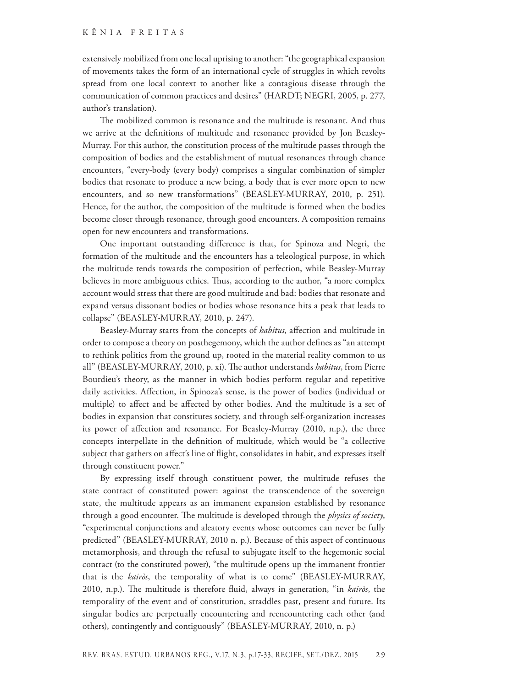### Kênia Freitas

extensively mobilized from one local uprising to another: "the geographical expansion of movements takes the form of an international cycle of struggles in which revolts spread from one local context to another like a contagious disease through the communication of common practices and desires" (HARDT; NEGRI, 2005, p. 277, author's translation).

The mobilized common is resonance and the multitude is resonant. And thus we arrive at the definitions of multitude and resonance provided by Jon Beasley-Murray. For this author, the constitution process of the multitude passes through the composition of bodies and the establishment of mutual resonances through chance encounters, "every-body (every body) comprises a singular combination of simpler bodies that resonate to produce a new being, a body that is ever more open to new encounters, and so new transformations" (BEASLEY-MURRAY, 2010, p. 251). Hence, for the author, the composition of the multitude is formed when the bodies become closer through resonance, through good encounters. A composition remains open for new encounters and transformations.

One important outstanding difference is that, for Spinoza and Negri, the formation of the multitude and the encounters has a teleological purpose, in which the multitude tends towards the composition of perfection, while Beasley-Murray believes in more ambiguous ethics. Thus, according to the author, "a more complex account would stress that there are good multitude and bad: bodies that resonate and expand versus dissonant bodies or bodies whose resonance hits a peak that leads to collapse" (BEASLEY-MURRAY, 2010, p. 247).

Beasley-Murray starts from the concepts of *habitus*, affection and multitude in order to compose a theory on posthegemony, which the author defines as "an attempt to rethink politics from the ground up, rooted in the material reality common to us all" (BEASLEY-MURRAY, 2010, p. xi). The author understands *habitus*, from Pierre Bourdieu's theory, as the manner in which bodies perform regular and repetitive daily activities. Affection, in Spinoza's sense, is the power of bodies (individual or multiple) to affect and be affected by other bodies. And the multitude is a set of bodies in expansion that constitutes society, and through self-organization increases its power of affection and resonance. For Beasley-Murray (2010, n.p.), the three concepts interpellate in the definition of multitude, which would be "a collective subject that gathers on affect's line of flight, consolidates in habit, and expresses itself through constituent power."

By expressing itself through constituent power, the multitude refuses the state contract of constituted power: against the transcendence of the sovereign state, the multitude appears as an immanent expansion established by resonance through a good encounter. The multitude is developed through the *physics of society*, "experimental conjunctions and aleatory events whose outcomes can never be fully predicted" (BEASLEY-MURRAY, 2010 n. p.). Because of this aspect of continuous metamorphosis, and through the refusal to subjugate itself to the hegemonic social contract (to the constituted power), "the multitude opens up the immanent frontier that is the *kairòs*, the temporality of what is to come" (BEASLEY-MURRAY, 2010, n.p.). The multitude is therefore fluid, always in generation, "in *kairòs*, the temporality of the event and of constitution, straddles past, present and future. Its singular bodies are perpetually encountering and reencountering each other (and others), contingently and contiguously" (BEASLEY-MURRAY, 2010, n. p.)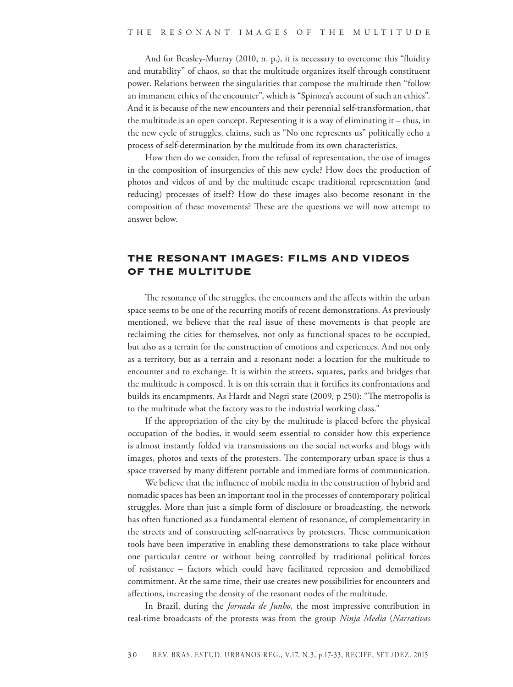And for Beasley-Murray (2010, n. p.), it is necessary to overcome this "fluidity and mutability" of chaos, so that the multitude organizes itself through constituent power. Relations between the singularities that compose the multitude then "follow an immanent ethics of the encounter", which is "Spinoza's account of such an ethics". And it is because of the new encounters and their perennial self-transformation, that the multitude is an open concept. Representing it is a way of eliminating it – thus, in the new cycle of struggles, claims, such as "No one represents us" politically echo a process of self-determination by the multitude from its own characteristics.

How then do we consider, from the refusal of representation, the use of images in the composition of insurgencies of this new cycle? How does the production of photos and videos of and by the multitude escape traditional representation (and reducing) processes of itself? How do these images also become resonant in the composition of these movements? These are the questions we will now attempt to answer below.

# The resonant images: films and videos of the multitude

The resonance of the struggles, the encounters and the affects within the urban space seems to be one of the recurring motifs of recent demonstrations. As previously mentioned, we believe that the real issue of these movements is that people are reclaiming the cities for themselves, not only as functional spaces to be occupied, but also as a terrain for the construction of emotions and experiences. And not only as a territory, but as a terrain and a resonant node: a location for the multitude to encounter and to exchange. It is within the streets, squares, parks and bridges that the multitude is composed. It is on this terrain that it fortifies its confrontations and builds its encampments. As Hardt and Negri state (2009, p 250): "The metropolis is to the multitude what the factory was to the industrial working class."

If the appropriation of the city by the multitude is placed before the physical occupation of the bodies, it would seem essential to consider how this experience is almost instantly folded via transmissions on the social networks and blogs with images, photos and texts of the protesters. The contemporary urban space is thus a space traversed by many different portable and immediate forms of communication.

We believe that the influence of mobile media in the construction of hybrid and nomadic spaces has been an important tool in the processes of contemporary political struggles. More than just a simple form of disclosure or broadcasting, the network has often functioned as a fundamental element of resonance, of complementarity in the streets and of constructing self-narratives by protesters. These communication tools have been imperative in enabling these demonstrations to take place without one particular centre or without being controlled by traditional political forces of resistance – factors which could have facilitated repression and demobilized commitment. At the same time, their use creates new possibilities for encounters and affections, increasing the density of the resonant nodes of the multitude.

In Brazil, during the *Jornada de Junho*, the most impressive contribution in real-time broadcasts of the protests was from the group *Ninja Media* (*Narrativas*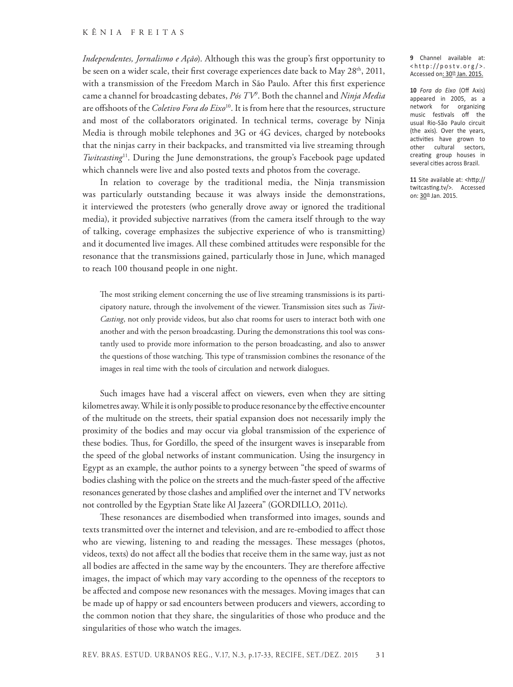### Kênia Freitas

*Independentes, Jornalismo e Ação*). Although this was the group's first opportunity to be seen on a wider scale, their first coverage experiences date back to May 28<sup>th</sup>, 2011, with a transmission of the Freedom March in São Paulo. After this first experience came a channel for broadcasting debates, *Pós TV9* . Both the channel and *Ninja Media* are offshoots of the *Coletivo Fora do Eixo*10. It is from here that the resources, structure and most of the collaborators originated. In technical terms, coverage by Ninja Media is through mobile telephones and 3G or 4G devices, charged by notebooks that the ninjas carry in their backpacks, and transmitted via live streaming through *Twitcasting*11. During the June demonstrations, the group's Facebook page updated which channels were live and also posted texts and photos from the coverage.

In relation to coverage by the traditional media, the Ninja transmission was particularly outstanding because it was always inside the demonstrations, it interviewed the protesters (who generally drove away or ignored the traditional media), it provided subjective narratives (from the camera itself through to the way of talking, coverage emphasizes the subjective experience of who is transmitting) and it documented live images. All these combined attitudes were responsible for the resonance that the transmissions gained, particularly those in June, which managed to reach 100 thousand people in one night.

The most striking element concerning the use of live streaming transmissions is its participatory nature, through the involvement of the viewer. Transmission sites such as *Twit-Casting*, not only provide videos, but also chat rooms for users to interact both with one another and with the person broadcasting. During the demonstrations this tool was constantly used to provide more information to the person broadcasting, and also to answer the questions of those watching. This type of transmission combines the resonance of the images in real time with the tools of circulation and network dialogues.

Such images have had a visceral affect on viewers, even when they are sitting kilometres away. While it is only possible to produce resonance by the effective encounter of the multitude on the streets, their spatial expansion does not necessarily imply the proximity of the bodies and may occur via global transmission of the experience of these bodies. Thus, for Gordillo, the speed of the insurgent waves is inseparable from the speed of the global networks of instant communication. Using the insurgency in Egypt as an example, the author points to a synergy between "the speed of swarms of bodies clashing with the police on the streets and the much-faster speed of the affective resonances generated by those clashes and amplified over the internet and TV networks not controlled by the Egyptian State like Al Jazeera" (GORDILLO, 2011c).

These resonances are disembodied when transformed into images, sounds and texts transmitted over the internet and television, and are re-embodied to affect those who are viewing, listening to and reading the messages. These messages (photos, videos, texts) do not affect all the bodies that receive them in the same way, just as not all bodies are affected in the same way by the encounters. They are therefore affective images, the impact of which may vary according to the openness of the receptors to be affected and compose new resonances with the messages. Moving images that can be made up of happy or sad encounters between producers and viewers, according to the common notion that they share, the singularities of those who produce and the singularities of those who watch the images.

**9** Channel available at: <http://postv.org/>. Accessed on: 30<sup>th</sup> Jan. 2015.

**10** *Fora do Eixo* (Off Axis) appeared in 2005, as a network for organizing music festivals off the usual Rio-São Paulo circuit (the axis). Over the years, activities have grown to other cultural sectors, creating group houses in several cities across Brazil.

**11** Site available at: <http:// twitcasting.tv/>. Accessed on: 30th Jan. 2015.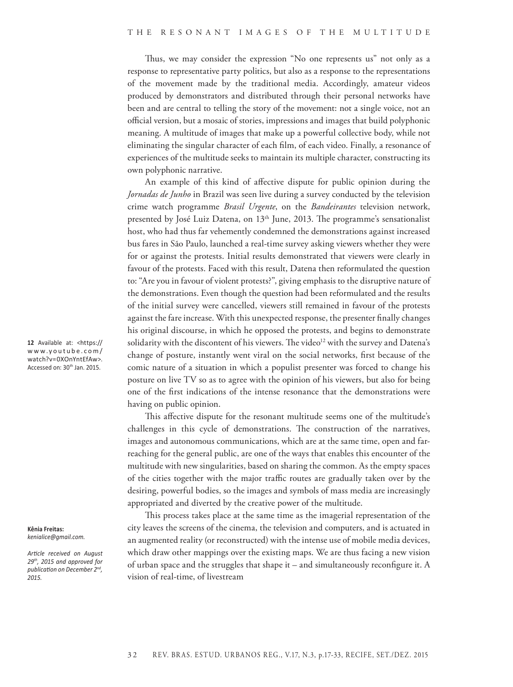Thus, we may consider the expression "No one represents us" not only as a response to representative party politics, but also as a response to the representations of the movement made by the traditional media. Accordingly, amateur videos produced by demonstrators and distributed through their personal networks have been and are central to telling the story of the movement: not a single voice, not an official version, but a mosaic of stories, impressions and images that build polyphonic meaning. A multitude of images that make up a powerful collective body, while not eliminating the singular character of each film, of each video. Finally, a resonance of experiences of the multitude seeks to maintain its multiple character, constructing its own polyphonic narrative.

An example of this kind of affective dispute for public opinion during the *Jornadas de Junho* in Brazil was seen live during a survey conducted by the television crime watch programme *Brasil Urgente*, on the *Bandeirantes* television network, presented by José Luiz Datena, on 13<sup>th</sup> June, 2013. The programme's sensationalist host, who had thus far vehemently condemned the demonstrations against increased bus fares in São Paulo, launched a real-time survey asking viewers whether they were for or against the protests. Initial results demonstrated that viewers were clearly in favour of the protests. Faced with this result, Datena then reformulated the question to: "Are you in favour of violent protests?", giving emphasis to the disruptive nature of the demonstrations. Even though the question had been reformulated and the results of the initial survey were cancelled, viewers still remained in favour of the protests against the fare increase. With this unexpected response, the presenter finally changes his original discourse, in which he opposed the protests, and begins to demonstrate solidarity with the discontent of his viewers. The video<sup>12</sup> with the survey and Datena's change of posture, instantly went viral on the social networks, first because of the comic nature of a situation in which a populist presenter was forced to change his posture on live TV so as to agree with the opinion of his viewers, but also for being one of the first indications of the intense resonance that the demonstrations were having on public opinion.

This affective dispute for the resonant multitude seems one of the multitude's challenges in this cycle of demonstrations. The construction of the narratives, images and autonomous communications, which are at the same time, open and farreaching for the general public, are one of the ways that enables this encounter of the multitude with new singularities, based on sharing the common. As the empty spaces of the cities together with the major traffic routes are gradually taken over by the desiring, powerful bodies, so the images and symbols of mass media are increasingly appropriated and diverted by the creative power of the multitude.

This process takes place at the same time as the imagerial representation of the city leaves the screens of the cinema, the television and computers, and is actuated in an augmented reality (or reconstructed) with the intense use of mobile media devices, which draw other mappings over the existing maps. We are thus facing a new vision of urban space and the struggles that shape it – and simultaneously reconfigure it. A vision of real-time, of livestream

**12** Available at: <https:// www.youtube.com/ watch?v=0XOnYntEfAw>. Accessed on: 30<sup>th</sup> Jan. 2015.

#### **Kênia Freitas:**  *kenialice@gmail.com.*

*Article received on August 29th, 2015 and approved for publication on December 2nd, 2015.*